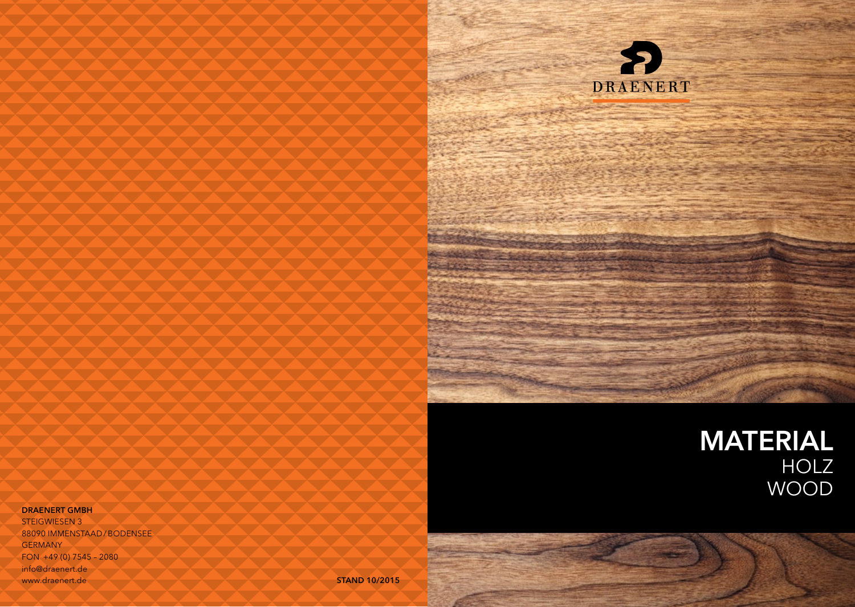

## **MATERIAL** HOLZ WOOD

#### DRAENERT GMBH

STEIGWIESEN 3 88090 IMMENSTAAD /BODENSEE **GERMANY** FON +49 (0) 7545 – 2080 info@draenert.de www.draenert.de STAND 10/2015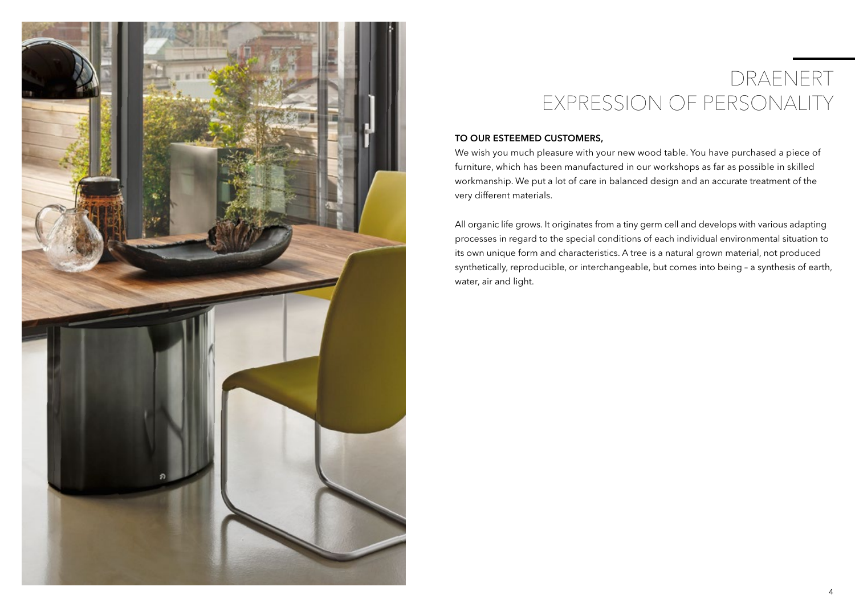

## DRAENERT EXPRESSION OF PERSONALITY

## TO OUR ESTEEMED CUSTOMERS,

We wish you much pleasure with your new wood table. You have purchased a piece of furniture, which has been manufactured in our workshops as far as possible in skilled workmanship. We put a lot of care in balanced design and an accurate treatment of the very different materials.

All organic life grows. It originates from a tiny germ cell and develops with various adapting processes in regard to the special conditions of each individual environmental situation to its own unique form and characteristics. A tree is a natural grown material, not produced synthetically, reproducible, or interchangeable, but comes into being – a synthesis of earth, water, air and light.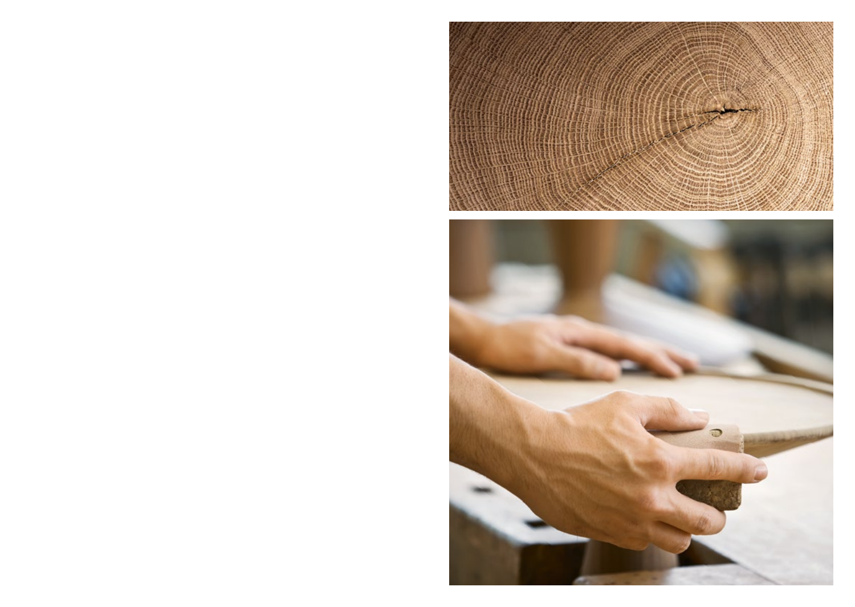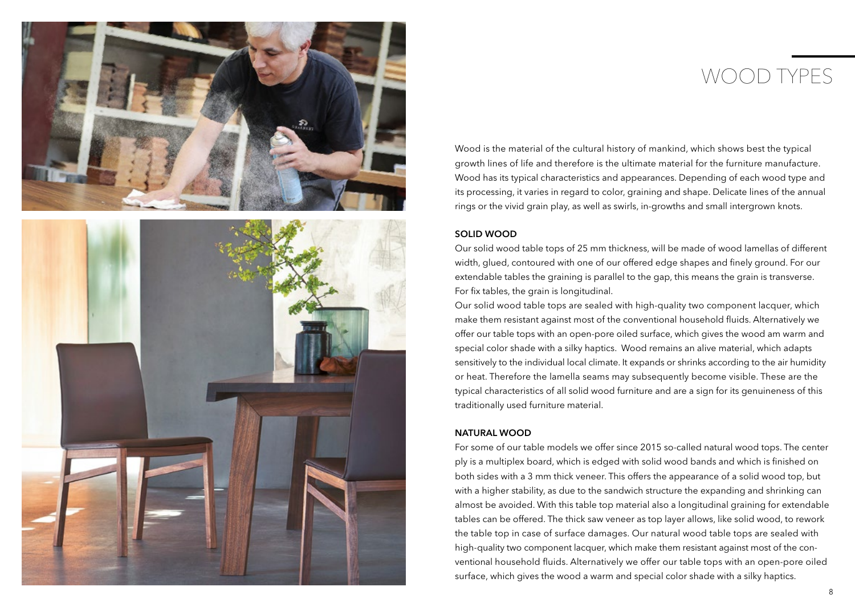## WOOD TYPES





Wood is the material of the cultural history of mankind, which shows best the typical growth lines of life and therefore is the ultimate material for the furniture manufacture. Wood has its typical characteristics and appearances. Depending of each wood type and its processing, it varies in regard to color, graining and shape. Delicate lines of the annual rings or the vivid grain play, as well as swirls, in-growths and small intergrown knots.

## SOLID WOOD

Our solid wood table tops of 25 mm thickness, will be made of wood lamellas of different width, glued, contoured with one of our offered edge shapes and finely ground. For our extendable tables the graining is parallel to the gap, this means the grain is transverse. For fix tables, the grain is longitudinal.

Our solid wood table tops are sealed with high-quality two component lacquer, which make them resistant against most of the conventional household fluids. Alternatively we offer our table tops with an open-pore oiled surface, which gives the wood am warm and special color shade with a silky haptics. Wood remains an alive material, which adapts sensitively to the individual local climate. It expands or shrinks according to the air humidity or heat. Therefore the lamella seams may subsequently become visible. These are the typical characteristics of all solid wood furniture and are a sign for its genuineness of this traditionally used furniture material.

## NATURAL WOOD

For some of our table models we offer since 2015 so-called natural wood tops. The center ply is a multiplex board, which is edged with solid wood bands and which is finished on both sides with a 3 mm thick veneer. This offers the appearance of a solid wood top, but with a higher stability, as due to the sandwich structure the expanding and shrinking can almost be avoided. With this table top material also a longitudinal graining for extendable tables can be offered. The thick saw veneer as top layer allows, like solid wood, to rework the table top in case of surface damages. Our natural wood table tops are sealed with high-quality two component lacquer, which make them resistant against most of the conventional household fluids. Alternatively we offer our table tops with an open-pore oiled surface, which gives the wood a warm and special color shade with a silky haptics.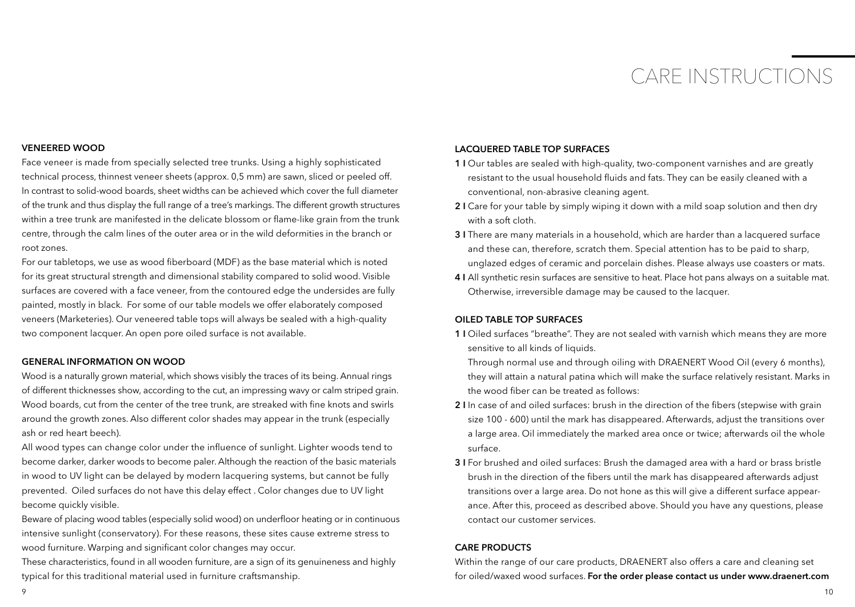## CARE INSTRUCTIONS

## VENEERED WOOD

Face veneer is made from specially selected tree trunks. Using a highly sophisticated technical process, thinnest veneer sheets (approx. 0,5 mm) are sawn, sliced or peeled off. In contrast to solid-wood boards, sheet widths can be achieved which cover the full diameter of the trunk and thus display the full range of a tree's markings. The different growth structures within a tree trunk are manifested in the delicate blossom or flame-like grain from the trunk centre, through the calm lines of the outer area or in the wild deformities in the branch or root zones.

For our tabletops, we use as wood fiberboard (MDF) as the base material which is noted for its great structural strength and dimensional stability compared to solid wood. Visible surfaces are covered with a face veneer, from the contoured edge the undersides are fully painted, mostly in black. For some of our table models we offer elaborately composed veneers (Marketeries). Our veneered table tops will always be sealed with a high-quality two component lacquer. An open pore oiled surface is not available.

### GENERAL INFORMATION ON WOOD

Wood is a naturally grown material, which shows visibly the traces of its being. Annual rings of different thicknesses show, according to the cut, an impressing wavy or calm striped grain. Wood boards, cut from the center of the tree trunk, are streaked with fine knots and swirls around the growth zones. Also different color shades may appear in the trunk (especially ash or red heart beech).

All wood types can change color under the influence of sunlight. Lighter woods tend to become darker, darker woods to become paler. Although the reaction of the basic materials in wood to UV light can be delayed by modern lacquering systems, but cannot be fully prevented. Oiled surfaces do not have this delay effect . Color changes due to UV light become quickly visible.

Beware of placing wood tables (especially solid wood) on underfloor heating or in continuous intensive sunlight (conservatory). For these reasons, these sites cause extreme stress to wood furniture. Warping and significant color changes may occur.

These characteristics, found in all wooden furniture, are a sign of its genuineness and highly typical for this traditional material used in furniture craftsmanship.

## LACQUERED TABLE TOP SURFACES

- 1 I Our tables are sealed with high-quality, two-component varnishes and are greatly resistant to the usual household fluids and fats. They can be easily cleaned with a conventional, non-abrasive cleaning agent.
- 2 I Care for your table by simply wiping it down with a mild soap solution and then dry with a soft cloth.
- 3 I There are many materials in a household, which are harder than a lacquered surface and these can, therefore, scratch them. Special attention has to be paid to sharp, unglazed edges of ceramic and porcelain dishes. Please always use coasters or mats.
- 4 I All synthetic resin surfaces are sensitive to heat. Place hot pans always on a suitable mat. Otherwise, irreversible damage may be caused to the lacquer.

### OILED TABLE TOP SURFACES

1 I Oiled surfaces "breathe". They are not sealed with varnish which means they are more sensitive to all kinds of liquids.

Through normal use and through oiling with DRAENERT Wood Oil (every 6 months), they will attain a natural patina which will make the surface relatively resistant. Marks in the wood fiber can be treated as follows:

- 2 I In case of and oiled surfaces: brush in the direction of the fibers (stepwise with grain size 100 - 600) until the mark has disappeared. Afterwards, adjust the transitions over a large area. Oil immediately the marked area once or twice; afterwards oil the whole surface.
- 3 I For brushed and oiled surfaces: Brush the damaged area with a hard or brass bristle brush in the direction of the fibers until the mark has disappeared afterwards adjust transitions over a large area. Do not hone as this will give a different surface appearance. After this, proceed as described above. Should you have any questions, please contact our customer services.

## CARE PRODUCTS

Within the range of our care products, DRAENERT also offers a care and cleaning set for oiled/waxed wood surfaces. For the order please contact us under www.draenert.com